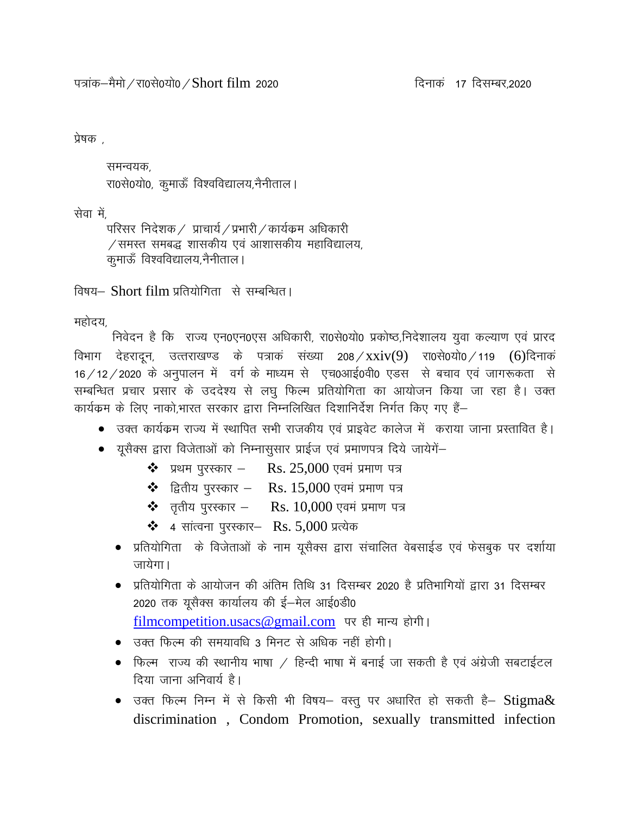```
प्रेषक .
```
समन्वयक. रा0से0यो0, कुमाऊँ विश्वविद्यालय,नैनीताल।

सेवा में,

परिसर निदेशक / प्राचार्य / प्रभारी / कार्यक्रम अधिकारी  $\sqrt{3}$ समस्त समबद्ध शासकीय एवं आशासकीय महाविद्यालय, कुमाऊँ विश्वविद्यालय,नैनीताल।

विषय– Short film प्रतियोगिता से सम्बन्धित।

महोदय

निवेदन है कि राज्य एन0एन0एस अधिकारी, रा0से0यो0 प्रकोष्ठ,निदेशालय युवा कल्याण एवं प्रारद विभाग देहरादून, उत्तराखण्ड के पत्राक संख्या 208/xxiv(9) रा0से0यो0/119 (6)दिनाक  $16$  / 12 / 2020 के अनुपालन में वर्ग के माध्यम से एच0आई0वी0 एडस से बचाव एवं जागरूकता से सम्बन्धित प्रचार प्रसार के उददेश्य से लघु फिल्म प्रतियोगिता का आयोजन किया जा रहा है। उक्त कार्यक्रम के लिए नाको.भारत सरकार द्वारा निम्नलिखित दिशानिर्देश निर्गत किए गए हैं–

- उक्त कार्यक्रम राज्य में स्थापित सभी राजकीय एवं प्राइवेट कालेज में कराया जाना प्रस्तावित है।
- $\bullet$  यूसैक्स द्वारा विजेताओं को निम्नासुसार प्राईज एवं प्रमाणपत्र दिये जायेगें–
	- $\cdot \cdot \cdot$  प्रथम पुरस्कार Rs. 25,000 एवमं प्रमाण पत्र
	- $\cdot$  हितीय पुरस्कार Rs. 15,000 एवमं प्रमाण पत्र
	- $\clubsuit$  तृतीय पुरस्कार Rs.  $10{,}000$  एवमं प्रमाण पत्र
	- $\div$  4 सांत्वना पुरस्कार- Rs. 5,000 प्रत्येक
	- $\bullet$  प्रतियोगिता के विजेताओं के नाम यूसैक्स द्वारा संचालित वेबसाईड एवं फेसबुक पर दर्शाया जायेगा।
	- $\bullet$  प्रतियोगिता के आयोजन की अंतिम तिथि 31 दिसम्बर 2020 है प्रतिभागियों द्वारा 31 दिसम्बर  $2020$  तक युसैक्स कार्यालय की ई-मेल आई0डी0 [filmcompetition.usacs@gmail.com](mailto:filmcompetition.usacs@gmail.com) पर ही मान्य होगी।
	- $\bullet$  उक्त फिल्म की समयावधि 3 मिनट से अधिक नहीं होगी।
	- $\bullet$  किल्म) राज्य की स्थानीय भाषा / हिन्दी भाषा में बनाई जा सकती है एवं अंग्रेजी सबटाईटल दिया जाना अनिवार्य है।
	- $\bullet$  उक्त फिल्म निम्न में से किसी भी विषय– वस्तु पर अधारित हो सकती है– Stigma $\&$ discrimination , Condom Promotion, sexually transmitted infection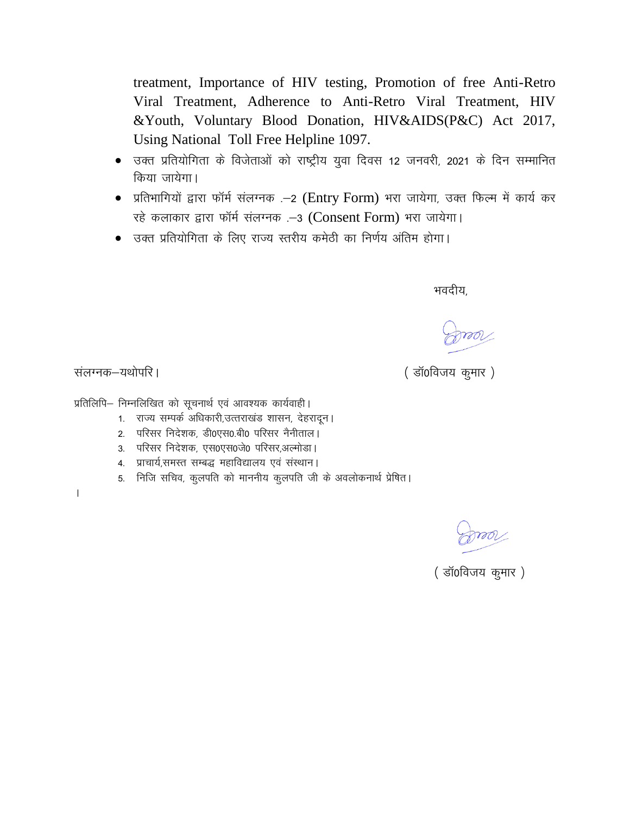treatment, Importance of HIV testing, Promotion of free Anti-Retro Viral Treatment, Adherence to Anti-Retro Viral Treatment, HIV &Youth, Voluntary Blood Donation, HIV&AIDS(P&C) Act 2017, Using National Toll Free Helpline 1097.

- $\bullet$  उक्त प्रतियोगिता के विजेताओं को राष्ट्रीय युवा दिवस 12 जनवरी, 2021 के दिन सम्मानित किया जायेगा।
- प्रतिभागियों द्वारा फॉर्म संलग्नक .-2 (Entry Form) भरा जायेगा, उक्त फिल्म में कार्य कर रहे कलाकार द्वारा फॉर्म संलग्नक .-3 (Consent Form) भरा जायेगा।
- उक्त प्रतियोगिता के लिए राज्य स्तरीय कमेठी का निर्णय अंतिम होगा।

म्बादीय, सामग्री के बाद करने के बाद करने के बाद करने के बाद करने के बाद करने के बाद करने के बाद करने के बाद कर<br>संबंधित के बाद करने के बाद करने के बाद करने के बाद करने के बाद करने के बाद करने के बाद करने के बाद करने के बाद

(डॉ0विजय कुमार)

संलग्नक-यथोपरि।

प्रतिलिपि– निम्नलिखित को सूचनार्थ एवं आवश्यक कार्यवाही।

- 1. राज्य सम्पर्क अधिकारी,उत्तराखंड शासन, देहरादून।
- 2. परिसर निदेशक, डी0एस0.बी0 परिसर नैनीताल।
- 3. परिसर निदेशक, एस0एस0जे0 परिसर,अल्मोडा।
- 4. प्राचार्य,समस्त सम्बद्ध महाविद्यालय एवं संस्थान।
- 5. निजि सचिव, कुलपति को माननीय कुलपति जी के अवलोकनार्थ प्रेषित।
- A

(डॉ0विजय कुमार)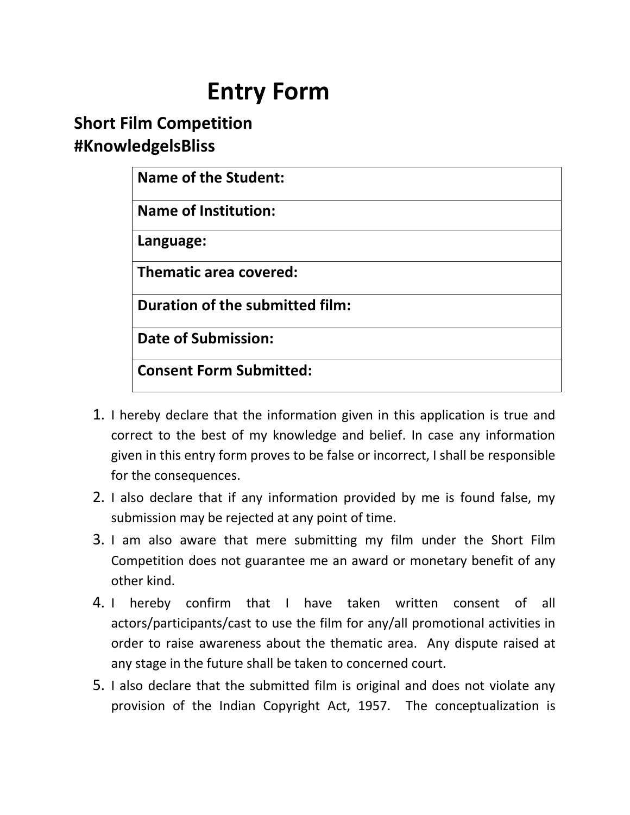## **Entry Form**

## **Short Film Competition #KnowledgelsBliss**

| <b>Name of the Student:</b>     |  |
|---------------------------------|--|
| <b>Name of Institution:</b>     |  |
| Language:                       |  |
| <b>Thematic area covered:</b>   |  |
| Duration of the submitted film: |  |
| <b>Date of Submission:</b>      |  |
| <b>Consent Form Submitted:</b>  |  |

- 1. I hereby declare that the information given in this application is true and correct to the best of my knowledge and belief. In case any information given in this entry form proves to be false or incorrect, I shall be responsible for the consequences.
- 2. I also declare that if any information provided by me is found false, my submission may be rejected at any point of time.
- 3. I am also aware that mere submitting my film under the Short Film Competition does not guarantee me an award or monetary benefit of any other kind.
- 4. I hereby confirm that I have taken written consent of all actors/participants/cast to use the film for any/all promotional activities in order to raise awareness about the thematic area. Any dispute raised at any stage in the future shall be taken to concerned court.
- 5. I also declare that the submitted film is original and does not violate any provision of the Indian Copyright Act, 1957. The conceptualization is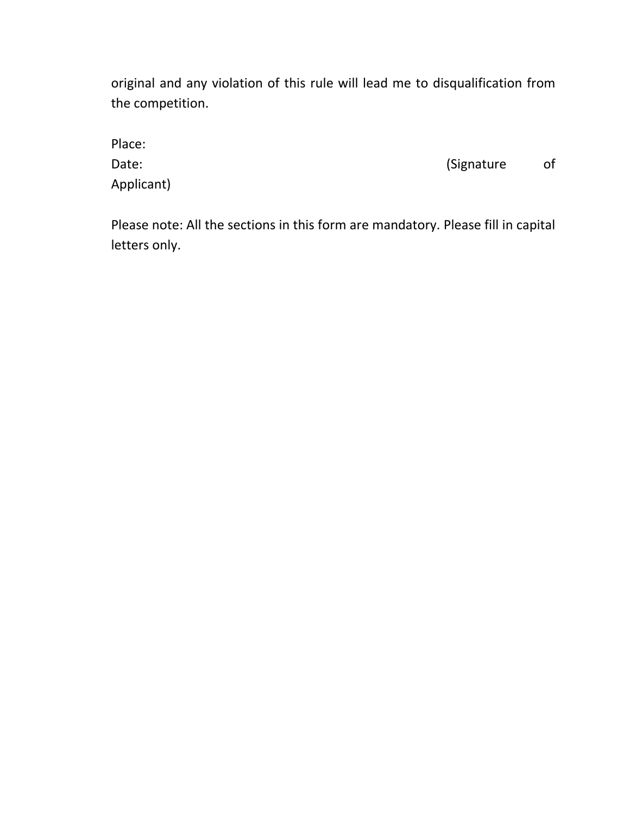original and any violation of this rule will lead me to disqualification from the competition.

| Place:     |            |    |
|------------|------------|----|
| Date:      | (Signature | of |
| Applicant) |            |    |

Please note: All the sections in this form are mandatory. Please fill in capital letters only.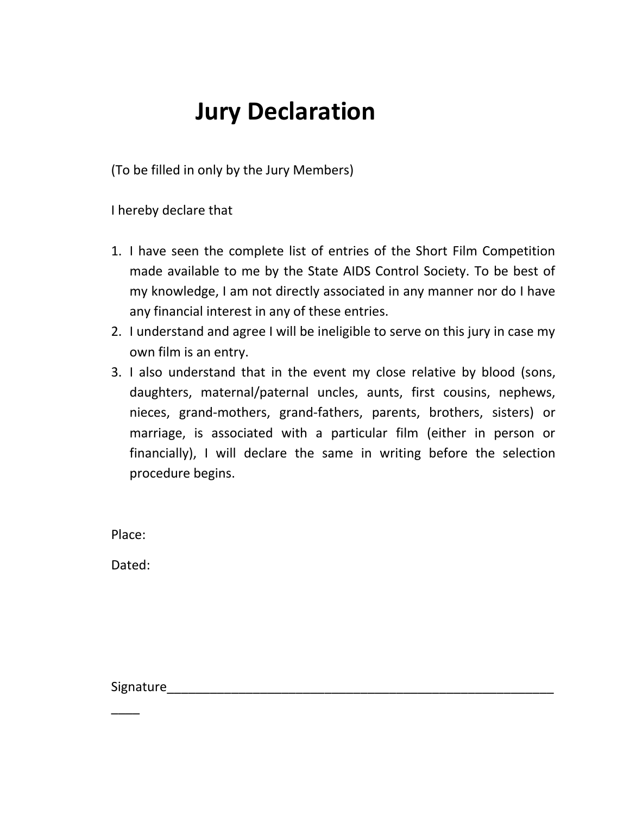## **Jury Declaration**

(To be filled in only by the Jury Members)

I hereby declare that

- 1. I have seen the complete list of entries of the Short Film Competition made available to me by the State AIDS Control Society. To be best of my knowledge, I am not directly associated in any manner nor do I have any financial interest in any of these entries.
- 2. I understand and agree I will be ineligible to serve on this jury in case my own film is an entry.
- 3. I also understand that in the event my close relative by blood (sons, daughters, maternal/paternal uncles, aunts, first cousins, nephews, nieces, grand-mothers, grand-fathers, parents, brothers, sisters) or marriage, is associated with a particular film (either in person or financially), I will declare the same in writing before the selection procedure begins.

Place:

Dated:

Signature\_\_\_\_\_\_\_\_\_\_\_\_\_\_\_\_\_\_\_\_\_\_\_\_\_\_\_\_\_\_\_\_\_\_\_\_\_\_\_\_\_\_\_\_\_\_\_\_\_\_\_\_\_\_

\_\_\_\_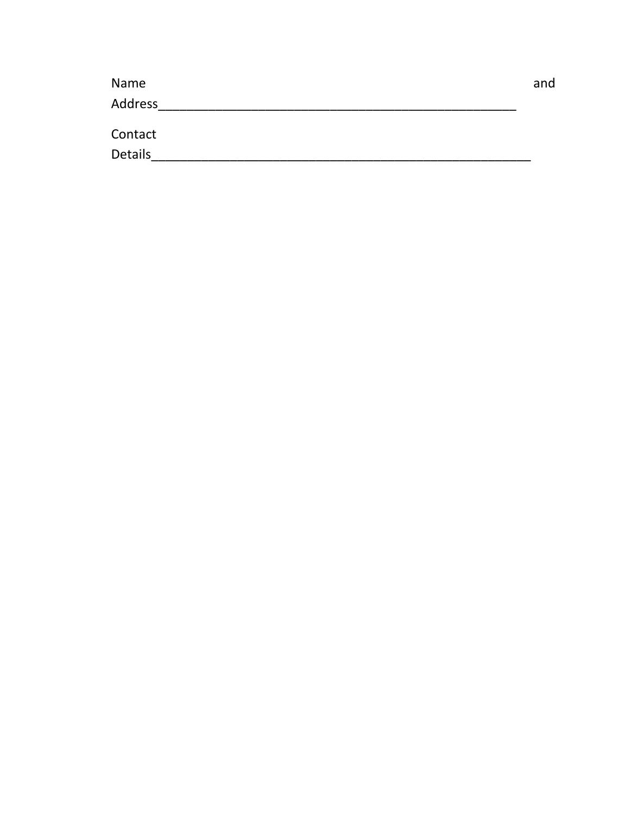| Name           | and |
|----------------|-----|
| Address        |     |
|                |     |
| Contact        |     |
| <b>Details</b> |     |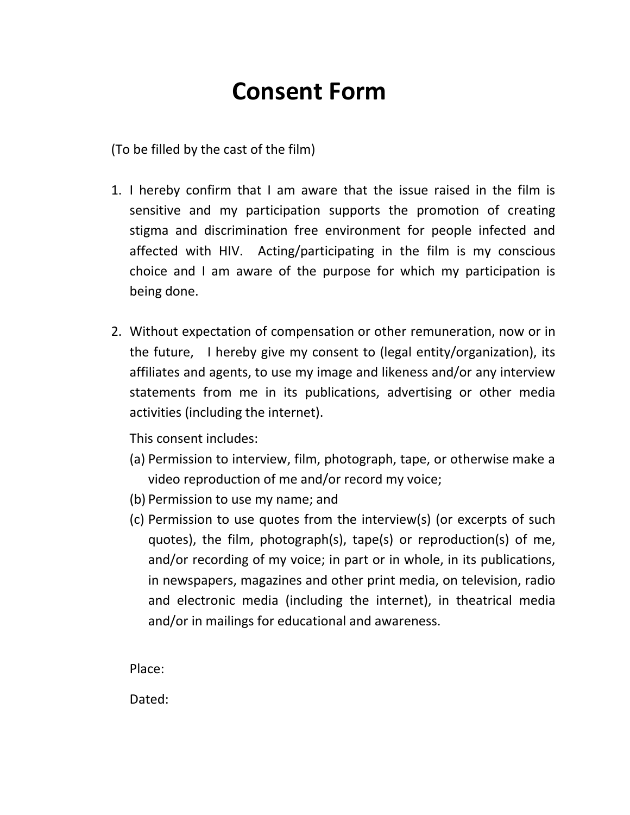## **Consent Form**

(To be filled by the cast of the film)

- 1. I hereby confirm that I am aware that the issue raised in the film is sensitive and my participation supports the promotion of creating stigma and discrimination free environment for people infected and affected with HIV. Acting/participating in the film is my conscious choice and I am aware of the purpose for which my participation is being done.
- 2. Without expectation of compensation or other remuneration, now or in the future, I hereby give my consent to (legal entity/organization), its affiliates and agents, to use my image and likeness and/or any interview statements from me in its publications, advertising or other media activities (including the internet).

This consent includes:

- (a) Permission to interview, film, photograph, tape, or otherwise make a video reproduction of me and/or record my voice;
- (b) Permission to use my name; and
- (c) Permission to use quotes from the interview(s) (or excerpts of such quotes), the film, photograph(s), tape(s) or reproduction(s) of me, and/or recording of my voice; in part or in whole, in its publications, in newspapers, magazines and other print media, on television, radio and electronic media (including the internet), in theatrical media and/or in mailings for educational and awareness.

Place:

Dated: